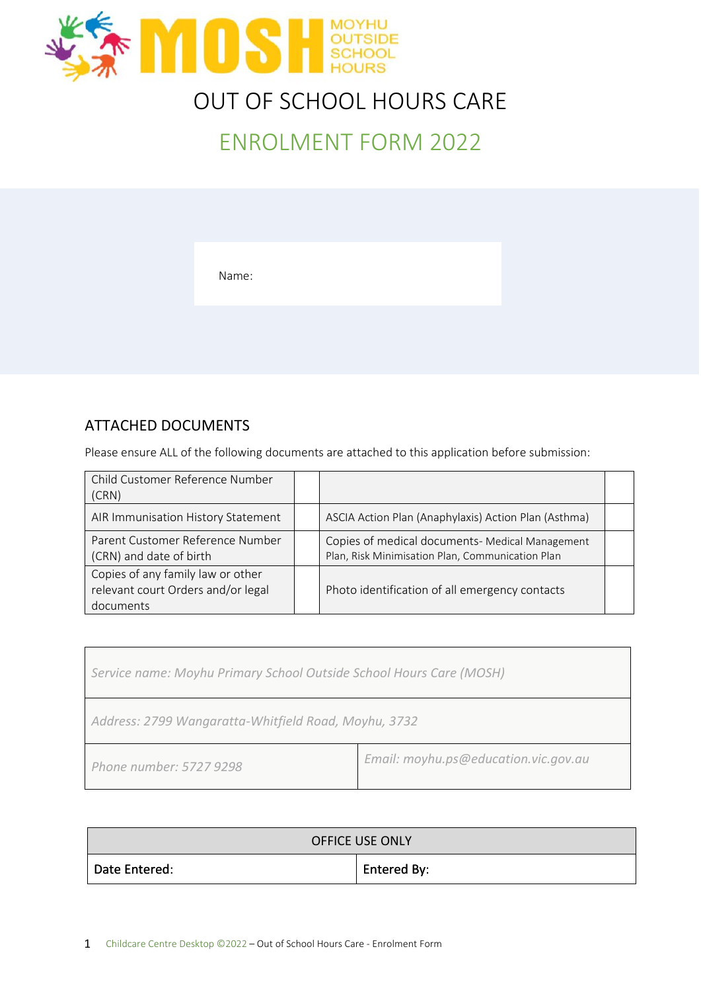

# OUT OF SCHOOL HOURS CARE

# ENROLMENT FORM 2022

Name:

#### ATTACHED DOCUMENTS

Please ensure ALL of the following documents are attached to this application before submission:

| Child Customer Reference Number<br>(CRN)                                             |                                                                                                     |  |
|--------------------------------------------------------------------------------------|-----------------------------------------------------------------------------------------------------|--|
| AIR Immunisation History Statement                                                   | ASCIA Action Plan (Anaphylaxis) Action Plan (Asthma)                                                |  |
| Parent Customer Reference Number<br>(CRN) and date of birth                          | Copies of medical documents- Medical Management<br>Plan, Risk Minimisation Plan, Communication Plan |  |
| Copies of any family law or other<br>relevant court Orders and/or legal<br>documents | Photo identification of all emergency contacts                                                      |  |

| Service name: Moyhu Primary School Outside School Hours Care (MOSH) |  |  |
|---------------------------------------------------------------------|--|--|
| Address: 2799 Wangaratta-Whitfield Road, Moyhu, 3732                |  |  |
| Email: moyhu.ps@education.vic.gov.au<br>Phone number: 5727 9298     |  |  |

| <b>OFFICE USE ONLY</b> |             |  |
|------------------------|-------------|--|
| Date Entered:          | Entered By: |  |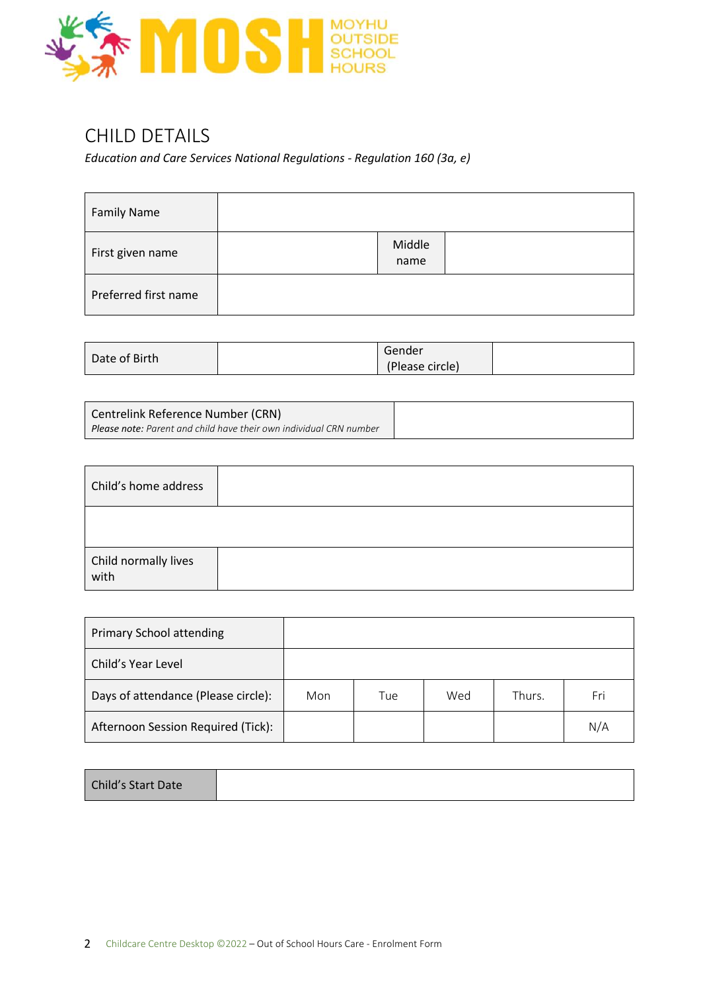

### CHILD DETAILS

*Education and Care Services National Regulations - Regulation 160 (3a, e)*

| <b>Family Name</b>   |                |
|----------------------|----------------|
| First given name     | Middle<br>name |
| Preferred first name |                |

| Date of Birth | Gender          |  |
|---------------|-----------------|--|
|               | (Please circle) |  |

| Centrelink Reference Number (CRN)                                         |  |
|---------------------------------------------------------------------------|--|
| <b>Please note:</b> Parent and child have their own individual CRN number |  |

| Child's home address         |  |
|------------------------------|--|
|                              |  |
| Child normally lives<br>with |  |

| <b>Primary School attending</b>     |     |     |     |        |     |
|-------------------------------------|-----|-----|-----|--------|-----|
| Child's Year Level                  |     |     |     |        |     |
| Days of attendance (Please circle): | Mon | Tue | Wed | Thurs. | Fri |
| Afternoon Session Required (Tick):  |     |     |     |        | N/A |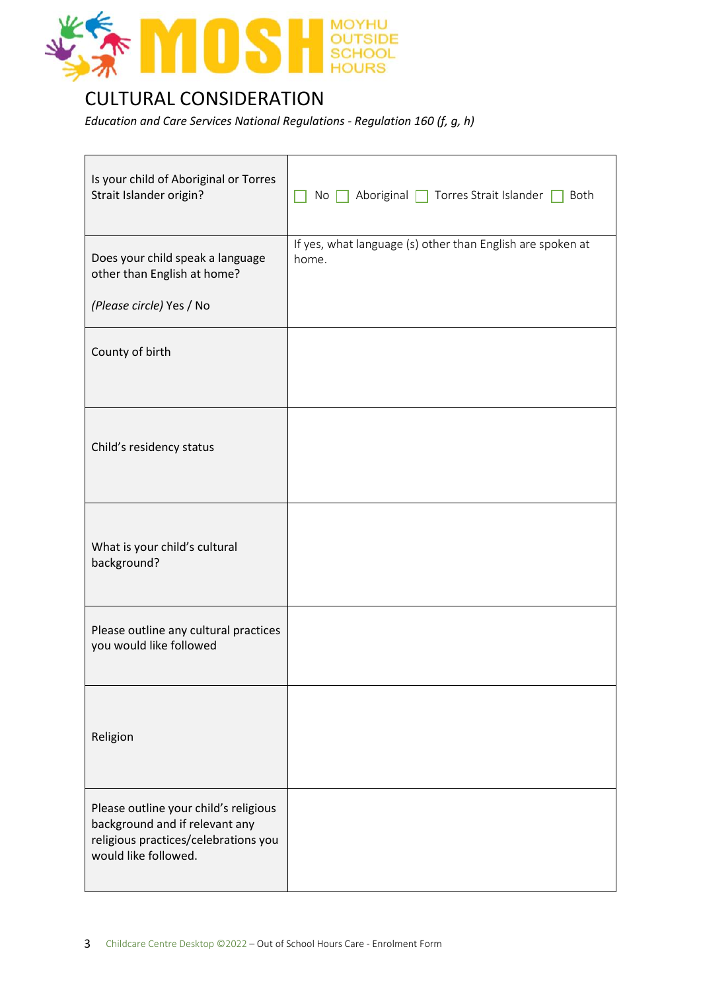

### CULTURAL CONSIDERATION

*Education and Care Services National Regulations - Regulation 160 (f, g, h)*

| Is your child of Aboriginal or Torres<br>Strait Islander origin?                                                                        | Aboriginal   Torres Strait Islander  <br>No<br>Both                 |
|-----------------------------------------------------------------------------------------------------------------------------------------|---------------------------------------------------------------------|
| Does your child speak a language<br>other than English at home?                                                                         | If yes, what language (s) other than English are spoken at<br>home. |
| (Please circle) Yes / No                                                                                                                |                                                                     |
| County of birth                                                                                                                         |                                                                     |
| Child's residency status                                                                                                                |                                                                     |
| What is your child's cultural<br>background?                                                                                            |                                                                     |
| Please outline any cultural practices<br>you would like followed                                                                        |                                                                     |
| Religion                                                                                                                                |                                                                     |
| Please outline your child's religious<br>background and if relevant any<br>religious practices/celebrations you<br>would like followed. |                                                                     |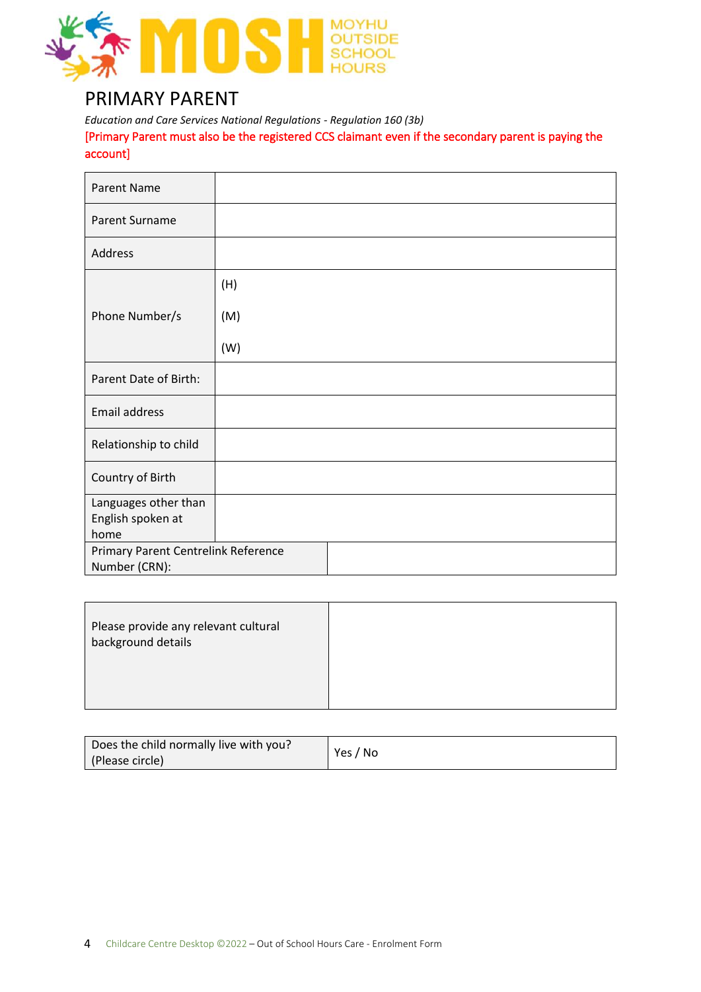

#### PRIMARY PARENT

*Education and Care Services National Regulations - Regulation 160 (3b)* [Primary Parent must also be the registered CCS claimant even if the secondary parent is paying the account]

| <b>Parent Name</b>                  |     |  |  |
|-------------------------------------|-----|--|--|
| <b>Parent Surname</b>               |     |  |  |
| Address                             |     |  |  |
|                                     | (H) |  |  |
| Phone Number/s                      | (M) |  |  |
|                                     | (W) |  |  |
| Parent Date of Birth:               |     |  |  |
| <b>Email address</b>                |     |  |  |
| Relationship to child               |     |  |  |
| Country of Birth                    |     |  |  |
| Languages other than                |     |  |  |
| English spoken at                   |     |  |  |
| home                                |     |  |  |
| Primary Parent Centrelink Reference |     |  |  |
| Number (CRN):                       |     |  |  |

| Please provide any relevant cultural<br>background details |  |
|------------------------------------------------------------|--|
|                                                            |  |

| Does the child normally live with you? | Yes / No |
|----------------------------------------|----------|
| (Please circle)                        |          |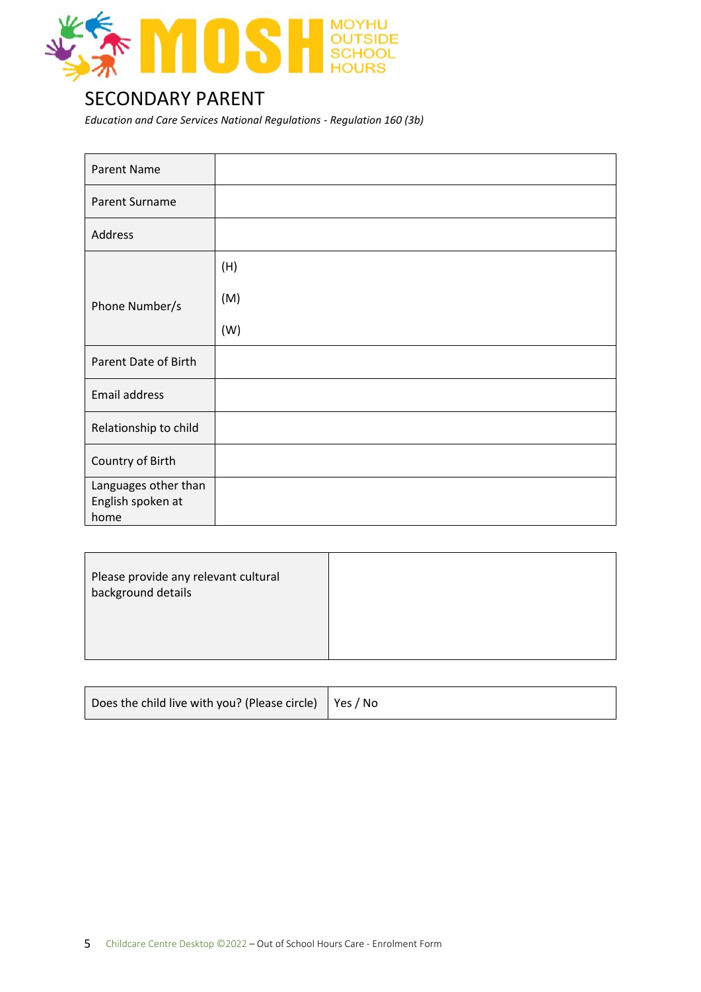

#### SECONDARY PARENT

*Education and Care Services National Regulations - Regulation 160 (3b)*

| <b>Parent Name</b>                                |     |
|---------------------------------------------------|-----|
| <b>Parent Surname</b>                             |     |
| Address                                           |     |
|                                                   | (H) |
| Phone Number/s                                    | (M) |
|                                                   | (W) |
| Parent Date of Birth                              |     |
| <b>Email address</b>                              |     |
| Relationship to child                             |     |
| Country of Birth                                  |     |
| Languages other than<br>English spoken at<br>home |     |

| Does the child live with you? (Please circle) $\vert$ Yes / No |  |
|----------------------------------------------------------------|--|
|----------------------------------------------------------------|--|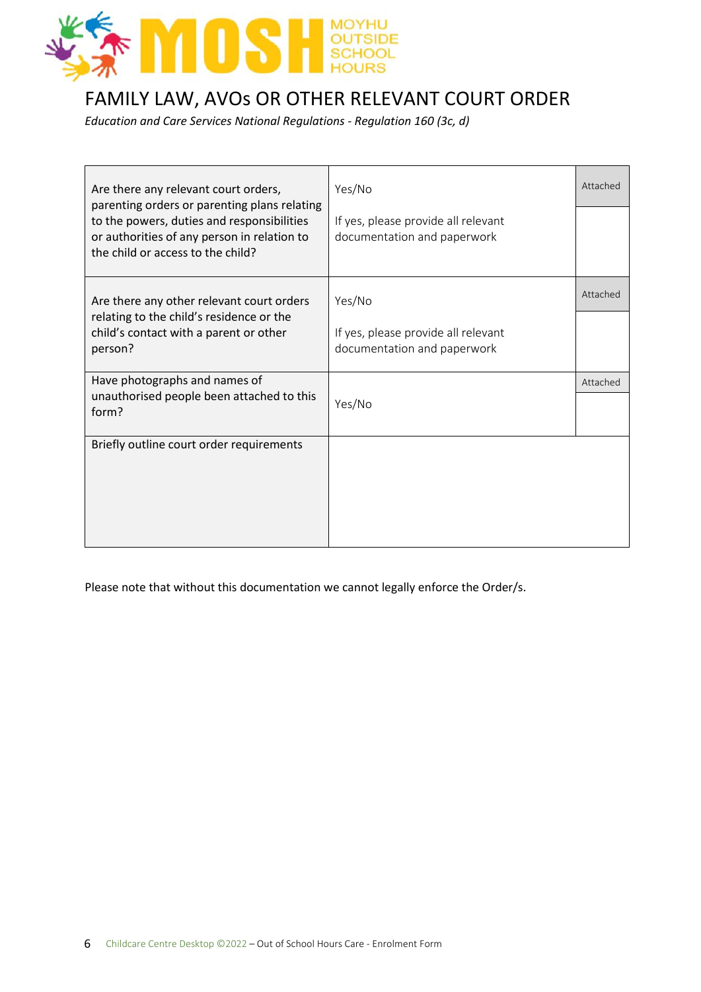

## FAMILY LAW, AVOs OR OTHER RELEVANT COURT ORDER

*Education and Care Services National Regulations - Regulation 160 (3c, d)*

| Are there any relevant court orders,<br>parenting orders or parenting plans relating                                           | Yes/No                                                             | Attached |
|--------------------------------------------------------------------------------------------------------------------------------|--------------------------------------------------------------------|----------|
| to the powers, duties and responsibilities<br>or authorities of any person in relation to<br>the child or access to the child? | If yes, please provide all relevant<br>documentation and paperwork |          |
| Are there any other relevant court orders                                                                                      | Yes/No                                                             | Attached |
| relating to the child's residence or the<br>child's contact with a parent or other<br>person?                                  | If yes, please provide all relevant<br>documentation and paperwork |          |
| Have photographs and names of<br>unauthorised people been attached to this<br>form?                                            | Yes/No                                                             | Attached |
| Briefly outline court order requirements                                                                                       |                                                                    |          |

Please note that without this documentation we cannot legally enforce the Order/s.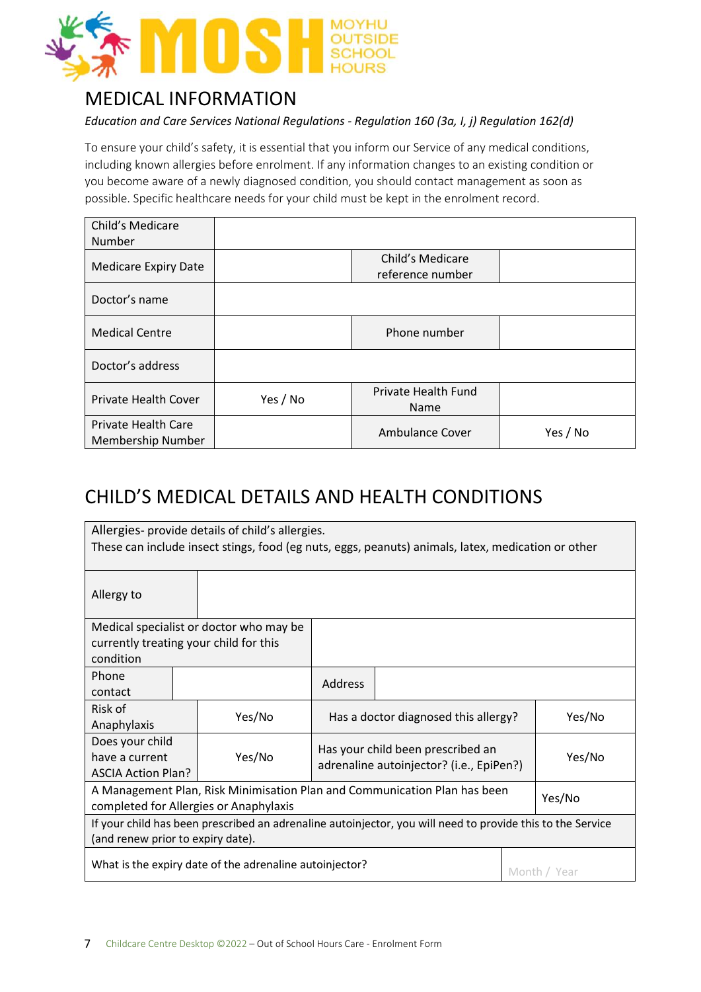

### MEDICAL INFORMATION

#### *Education and Care Services National Regulations - Regulation 160 (3a, I, j) Regulation 162(d)*

To ensure your child's safety, it is essential that you inform our Service of any medical conditions, including known allergies before enrolment. If any information changes to an existing condition or you become aware of a newly diagnosed condition, you should contact management as soon as possible. Specific healthcare needs for your child must be kept in the enrolment record.

| Child's Medicare<br>Number                      |          |                                      |          |
|-------------------------------------------------|----------|--------------------------------------|----------|
| <b>Medicare Expiry Date</b>                     |          | Child's Medicare<br>reference number |          |
| Doctor's name                                   |          |                                      |          |
| <b>Medical Centre</b>                           |          | Phone number                         |          |
| Doctor's address                                |          |                                      |          |
| <b>Private Health Cover</b>                     | Yes / No | Private Health Fund<br>Name          |          |
| <b>Private Health Care</b><br>Membership Number |          | Ambulance Cover                      | Yes / No |

### CHILD'S MEDICAL DETAILS AND HEALTH CONDITIONS

| Allergies- provide details of child's allergies.                                                           |  |                                         |         |                                                                           |  |        |
|------------------------------------------------------------------------------------------------------------|--|-----------------------------------------|---------|---------------------------------------------------------------------------|--|--------|
| These can include insect stings, food (eg nuts, eggs, peanuts) animals, latex, medication or other         |  |                                         |         |                                                                           |  |        |
| Allergy to                                                                                                 |  |                                         |         |                                                                           |  |        |
|                                                                                                            |  | Medical specialist or doctor who may be |         |                                                                           |  |        |
|                                                                                                            |  | currently treating your child for this  |         |                                                                           |  |        |
| condition                                                                                                  |  |                                         |         |                                                                           |  |        |
| Phone                                                                                                      |  |                                         | Address |                                                                           |  |        |
| contact                                                                                                    |  |                                         |         |                                                                           |  |        |
| Risk of                                                                                                    |  | Yes/No                                  |         | Has a doctor diagnosed this allergy?                                      |  | Yes/No |
| Anaphylaxis                                                                                                |  |                                         |         |                                                                           |  |        |
| Does your child                                                                                            |  |                                         |         | Has your child been prescribed an                                         |  |        |
| have a current                                                                                             |  | Yes/No                                  |         | adrenaline autoinjector? (i.e., EpiPen?)                                  |  | Yes/No |
| <b>ASCIA Action Plan?</b>                                                                                  |  |                                         |         |                                                                           |  |        |
|                                                                                                            |  |                                         |         | A Management Plan, Risk Minimisation Plan and Communication Plan has been |  |        |
| Yes/No<br>completed for Allergies or Anaphylaxis                                                           |  |                                         |         |                                                                           |  |        |
| If your child has been prescribed an adrenaline autoinjector, you will need to provide this to the Service |  |                                         |         |                                                                           |  |        |
| (and renew prior to expiry date).                                                                          |  |                                         |         |                                                                           |  |        |
| What is the expiry date of the adrenaline autoinjector?<br>Month / Year                                    |  |                                         |         |                                                                           |  |        |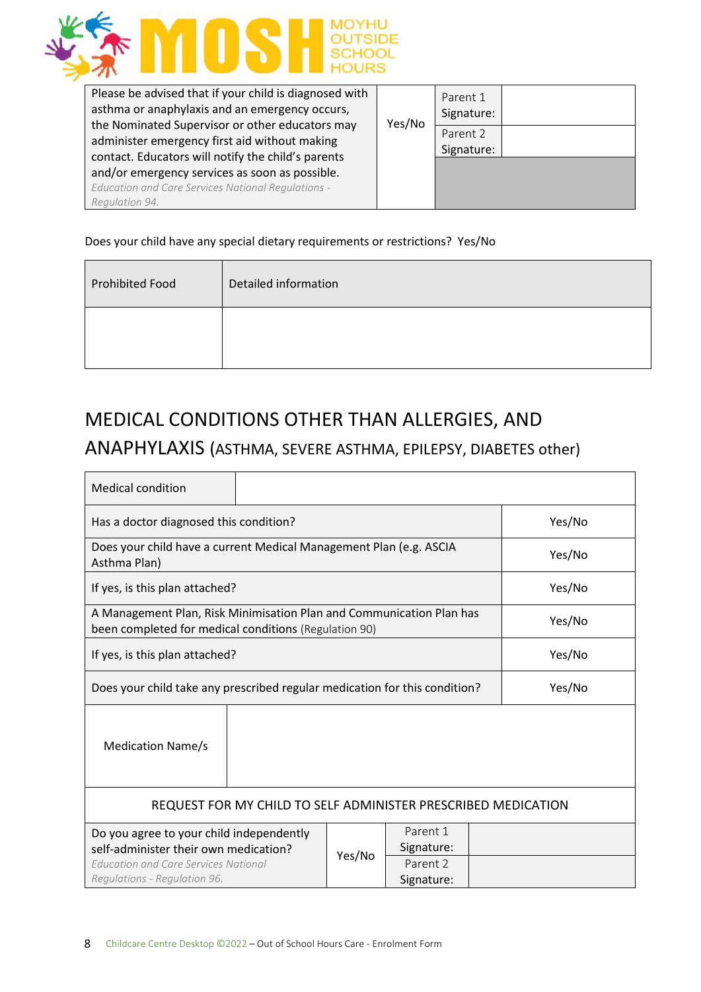

| Please be advised that if your child is diagnosed with<br>asthma or anaphylaxis and an emergency occurs, | Yes/No | Parent 1<br>Signature: |  |
|----------------------------------------------------------------------------------------------------------|--------|------------------------|--|
| the Nominated Supervisor or other educators may<br>administer emergency first aid without making         |        | Parent 2<br>Signature: |  |
| contact. Educators will notify the child's parents<br>and/or emergency services as soon as possible.     |        |                        |  |
| <b>Education and Care Services National Regulations -</b>                                                |        |                        |  |
| Regulation 94.                                                                                           |        |                        |  |

#### Does your child have any special dietary requirements or restrictions? Yes/No

| <b>Prohibited Food</b> | Detailed information |
|------------------------|----------------------|
|                        |                      |

# MEDICAL CONDITIONS OTHER THAN ALLERGIES, AND

#### ANAPHYLAXIS (ASTHMA, SEVERE ASTHMA, EPILEPSY, DIABETES other)

| <b>Medical condition</b>                                                                                                                                  |        |                                                  |        |  |  |
|-----------------------------------------------------------------------------------------------------------------------------------------------------------|--------|--------------------------------------------------|--------|--|--|
| Has a doctor diagnosed this condition?                                                                                                                    |        |                                                  | Yes/No |  |  |
| Does your child have a current Medical Management Plan (e.g. ASCIA<br>Asthma Plan)                                                                        |        |                                                  | Yes/No |  |  |
| If yes, is this plan attached?                                                                                                                            |        |                                                  | Yes/No |  |  |
| A Management Plan, Risk Minimisation Plan and Communication Plan has<br>been completed for medical conditions (Regulation 90)                             |        |                                                  | Yes/No |  |  |
| If yes, is this plan attached?                                                                                                                            |        |                                                  | Yes/No |  |  |
| Does your child take any prescribed regular medication for this condition?<br>Yes/No                                                                      |        |                                                  |        |  |  |
| <b>Medication Name/s</b>                                                                                                                                  |        |                                                  |        |  |  |
| REQUEST FOR MY CHILD TO SELF ADMINISTER PRESCRIBED MEDICATION                                                                                             |        |                                                  |        |  |  |
| Do you agree to your child independently<br>self-administer their own medication?<br>Education and Care Services National<br>Regulations - Regulation 96. | Yes/No | Parent 1<br>Signature:<br>Parent 2<br>Signature: |        |  |  |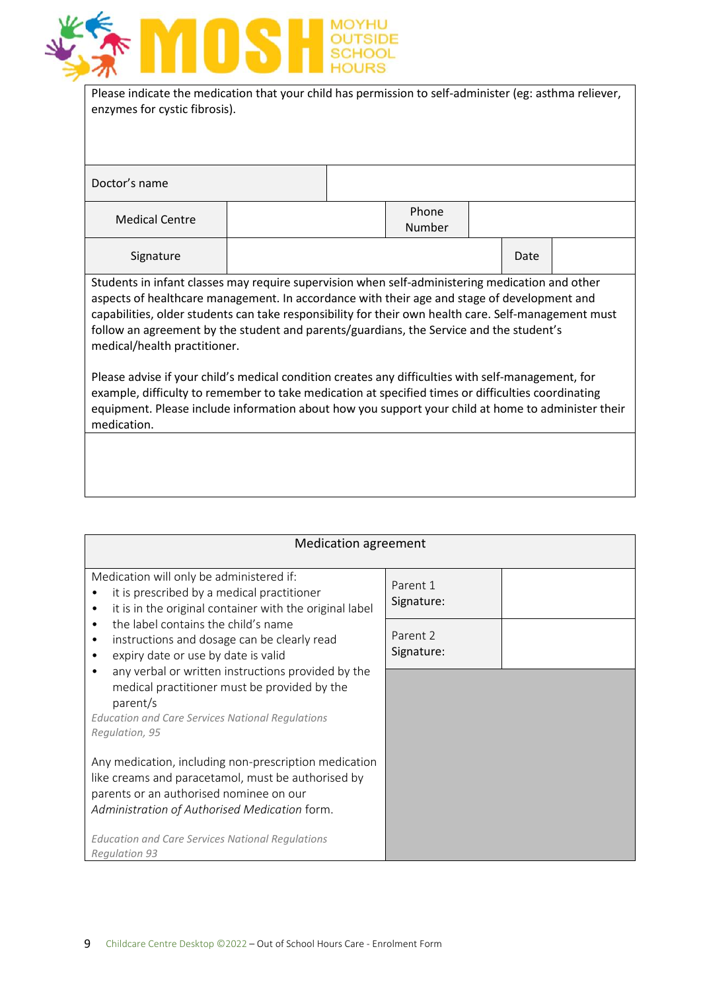

| Please indicate the medication that your child has permission to self-administer (eg: asthma reliever, |
|--------------------------------------------------------------------------------------------------------|
| enzymes for cystic fibrosis).                                                                          |
|                                                                                                        |

| Doctor's name                                                                                                                                                                                                                                                                                                                                                                                                                     |  |  |                 |  |      |  |
|-----------------------------------------------------------------------------------------------------------------------------------------------------------------------------------------------------------------------------------------------------------------------------------------------------------------------------------------------------------------------------------------------------------------------------------|--|--|-----------------|--|------|--|
| <b>Medical Centre</b>                                                                                                                                                                                                                                                                                                                                                                                                             |  |  | Phone<br>Number |  |      |  |
| Signature                                                                                                                                                                                                                                                                                                                                                                                                                         |  |  |                 |  | Date |  |
| Students in infant classes may require supervision when self-administering medication and other<br>aspects of healthcare management. In accordance with their age and stage of development and<br>capabilities, older students can take responsibility for their own health care. Self-management must<br>follow an agreement by the student and parents/guardians, the Service and the student's<br>medical/health practitioner. |  |  |                 |  |      |  |
| Please advise if your child's medical condition creates any difficulties with self-management, for<br>example, difficulty to remember to take medication at specified times or difficulties coordinating<br>equipment. Please include information about how you support your child at home to administer their<br>medication.                                                                                                     |  |  |                 |  |      |  |
|                                                                                                                                                                                                                                                                                                                                                                                                                                   |  |  |                 |  |      |  |

| <b>Medication agreement</b>                                                                                                                                                                             |                        |  |
|---------------------------------------------------------------------------------------------------------------------------------------------------------------------------------------------------------|------------------------|--|
| Medication will only be administered if:<br>it is prescribed by a medical practitioner<br>it is in the original container with the original label<br>$\bullet$                                          | Parent 1<br>Signature: |  |
| the label contains the child's name<br>$\bullet$<br>instructions and dosage can be clearly read<br>$\bullet$<br>expiry date or use by date is valid<br>$\bullet$                                        | Parent 2<br>Signature: |  |
| any verbal or written instructions provided by the<br>$\bullet$<br>medical practitioner must be provided by the<br>parent/s                                                                             |                        |  |
| <b>Education and Care Services National Regulations</b><br>Regulation, 95                                                                                                                               |                        |  |
| Any medication, including non-prescription medication<br>like creams and paracetamol, must be authorised by<br>parents or an authorised nominee on our<br>Administration of Authorised Medication form. |                        |  |
| Education and Care Services National Regulations<br><b>Regulation 93</b>                                                                                                                                |                        |  |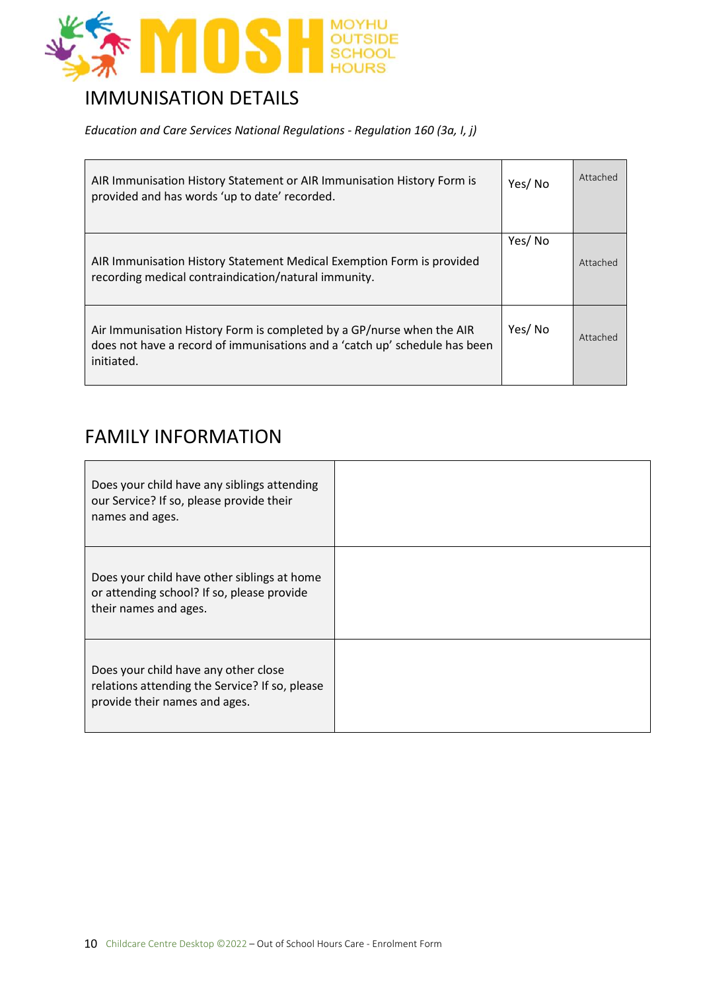

### IMMUNISATION DETAILS

*Education and Care Services National Regulations - Regulation 160 (3a, I, j)*

| AIR Immunisation History Statement or AIR Immunisation History Form is<br>provided and has words 'up to date' recorded.                                           | Yes/No | Attached |
|-------------------------------------------------------------------------------------------------------------------------------------------------------------------|--------|----------|
| AIR Immunisation History Statement Medical Exemption Form is provided<br>recording medical contraindication/natural immunity.                                     | Yes/No | Attached |
| Air Immunisation History Form is completed by a GP/nurse when the AIR<br>does not have a record of immunisations and a 'catch up' schedule has been<br>initiated. | Yes/No | Attached |

#### FAMILY INFORMATION

| Does your child have any siblings attending<br>our Service? If so, please provide their<br>names and ages.              |  |
|-------------------------------------------------------------------------------------------------------------------------|--|
| Does your child have other siblings at home<br>or attending school? If so, please provide<br>their names and ages.      |  |
| Does your child have any other close<br>relations attending the Service? If so, please<br>provide their names and ages. |  |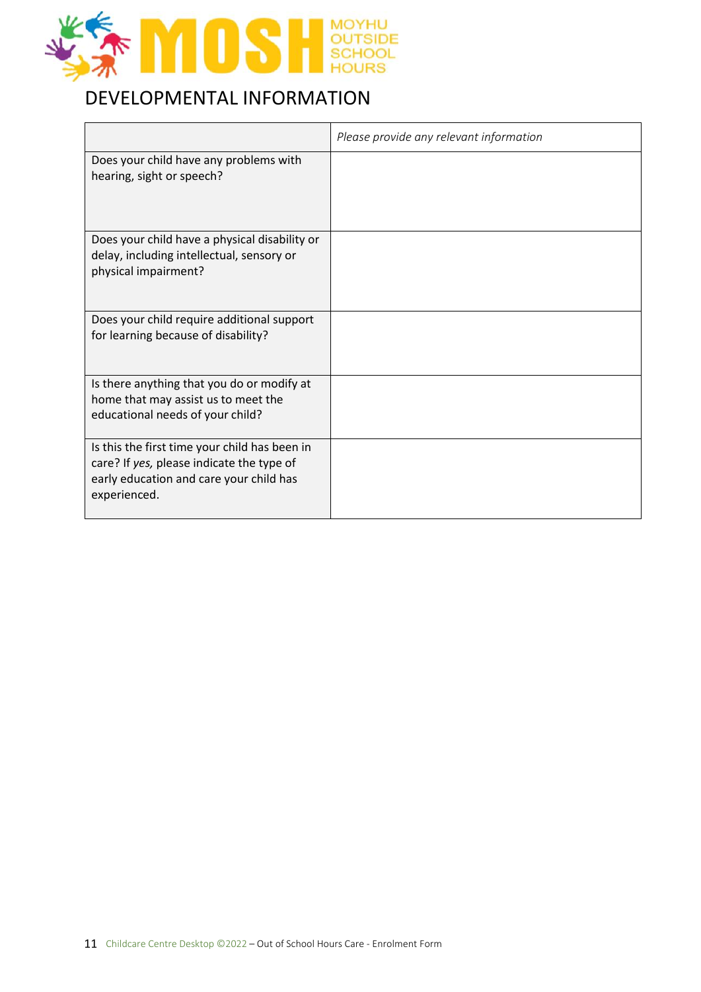

## DEVELOPMENTAL INFORMATION

|                                                                                                                                                       | Please provide any relevant information |
|-------------------------------------------------------------------------------------------------------------------------------------------------------|-----------------------------------------|
| Does your child have any problems with<br>hearing, sight or speech?                                                                                   |                                         |
| Does your child have a physical disability or<br>delay, including intellectual, sensory or<br>physical impairment?                                    |                                         |
| Does your child require additional support<br>for learning because of disability?                                                                     |                                         |
| Is there anything that you do or modify at<br>home that may assist us to meet the<br>educational needs of your child?                                 |                                         |
| Is this the first time your child has been in<br>care? If yes, please indicate the type of<br>early education and care your child has<br>experienced. |                                         |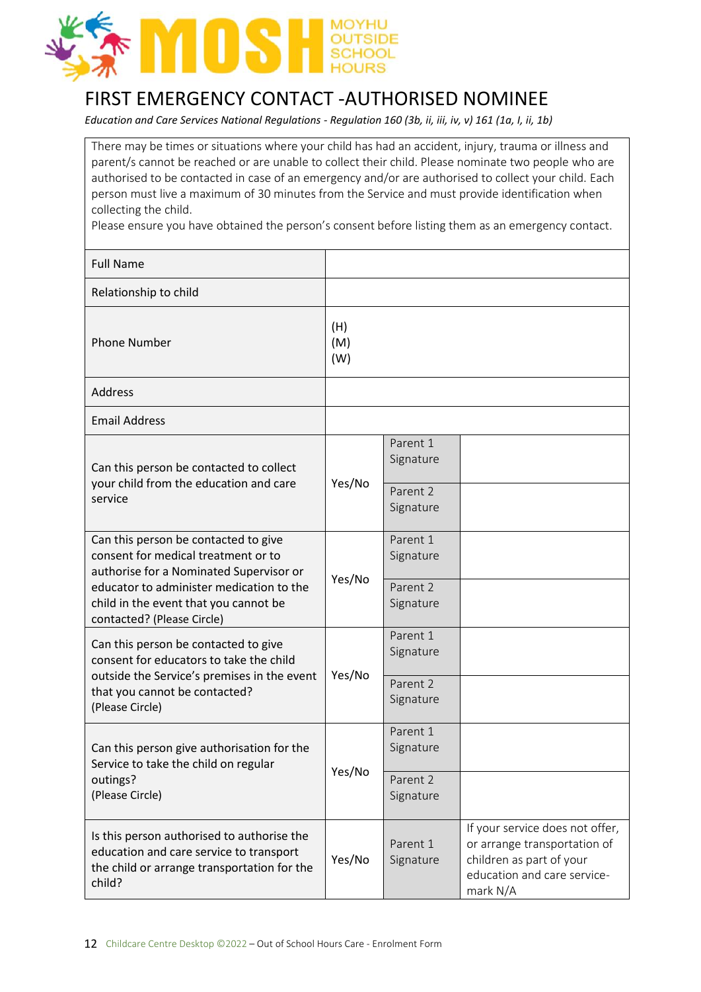

### FIRST EMERGENCY CONTACT -AUTHORISED NOMINEE

*Education and Care Services National Regulations - Regulation 160 (3b, ii, iii, iv, v) 161 (1a, I, ii, 1b)*

There may be times or situations where your child has had an accident, injury, trauma or illness and parent/s cannot be reached or are unable to collect their child. Please nominate two people who are authorised to be contacted in case of an emergency and/or are authorised to collect your child. Each person must live a maximum of 30 minutes from the Service and must provide identification when collecting the child.

Please ensure you have obtained the person's consent before listing them as an emergency contact.

| <b>Full Name</b>                                                                                                                                                                                                                          |                   |                       |                                                                                                                                        |
|-------------------------------------------------------------------------------------------------------------------------------------------------------------------------------------------------------------------------------------------|-------------------|-----------------------|----------------------------------------------------------------------------------------------------------------------------------------|
| Relationship to child                                                                                                                                                                                                                     |                   |                       |                                                                                                                                        |
| <b>Phone Number</b>                                                                                                                                                                                                                       | (H)<br>(M)<br>(W) |                       |                                                                                                                                        |
| <b>Address</b>                                                                                                                                                                                                                            |                   |                       |                                                                                                                                        |
| <b>Email Address</b>                                                                                                                                                                                                                      |                   |                       |                                                                                                                                        |
| Can this person be contacted to collect                                                                                                                                                                                                   |                   | Parent 1<br>Signature |                                                                                                                                        |
| your child from the education and care<br>service                                                                                                                                                                                         | Yes/No            | Parent 2<br>Signature |                                                                                                                                        |
| Can this person be contacted to give<br>consent for medical treatment or to<br>authorise for a Nominated Supervisor or<br>educator to administer medication to the<br>child in the event that you cannot be<br>contacted? (Please Circle) | Yes/No            | Parent 1<br>Signature |                                                                                                                                        |
|                                                                                                                                                                                                                                           |                   | Parent 2<br>Signature |                                                                                                                                        |
| Can this person be contacted to give<br>consent for educators to take the child                                                                                                                                                           |                   | Parent 1<br>Signature |                                                                                                                                        |
| outside the Service's premises in the event<br>that you cannot be contacted?<br>(Please Circle)                                                                                                                                           | Yes/No            | Parent 2<br>Signature |                                                                                                                                        |
| Can this person give authorisation for the<br>Service to take the child on regular                                                                                                                                                        | Yes/No            | Parent 1<br>Signature |                                                                                                                                        |
| outings?<br>(Please Circle)                                                                                                                                                                                                               |                   | Parent 2<br>Signature |                                                                                                                                        |
| Is this person authorised to authorise the<br>education and care service to transport<br>the child or arrange transportation for the<br>child?                                                                                            | Yes/No            | Parent 1<br>Signature | If your service does not offer,<br>or arrange transportation of<br>children as part of your<br>education and care service-<br>mark N/A |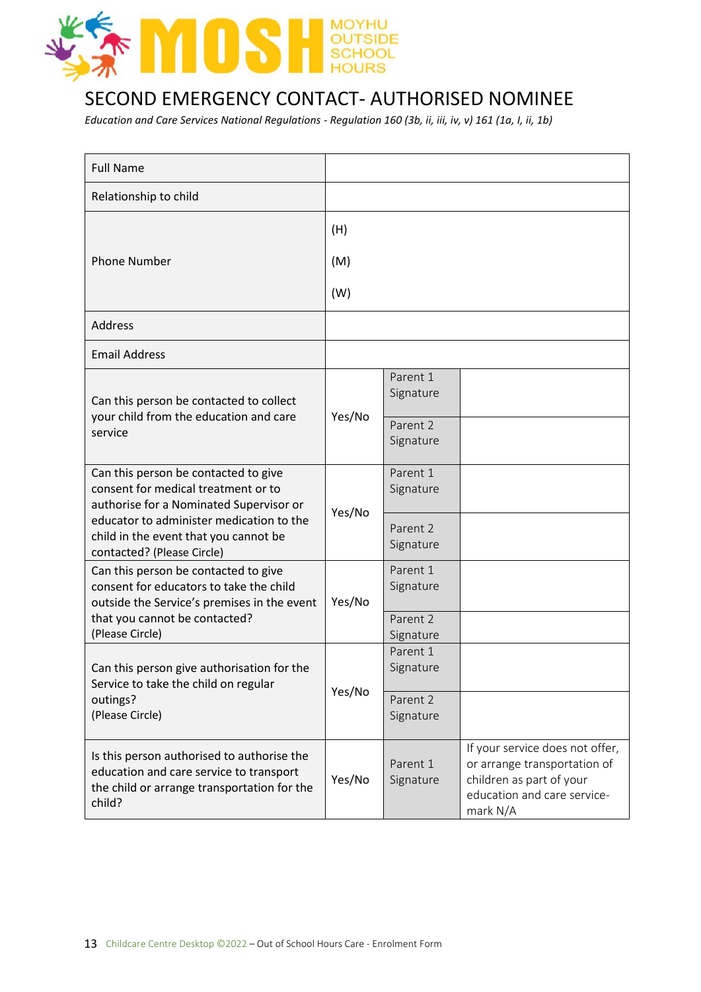

### SECOND EMERGENCY CONTACT- AUTHORISED NOMINEE

*Education and Care Services National Regulations - Regulation 160 (3b, ii, iii, iv, v) 161 (1a, I, ii, 1b)*

| <b>Full Name</b>                                                                                                                               |        |                       |                                                                                                                                        |
|------------------------------------------------------------------------------------------------------------------------------------------------|--------|-----------------------|----------------------------------------------------------------------------------------------------------------------------------------|
| Relationship to child                                                                                                                          |        |                       |                                                                                                                                        |
|                                                                                                                                                | (H)    |                       |                                                                                                                                        |
| <b>Phone Number</b>                                                                                                                            | (M)    |                       |                                                                                                                                        |
|                                                                                                                                                | (W)    |                       |                                                                                                                                        |
| <b>Address</b>                                                                                                                                 |        |                       |                                                                                                                                        |
| <b>Email Address</b>                                                                                                                           |        |                       |                                                                                                                                        |
| Can this person be contacted to collect                                                                                                        |        | Parent 1<br>Signature |                                                                                                                                        |
| your child from the education and care<br>service                                                                                              | Yes/No | Parent 2<br>Signature |                                                                                                                                        |
| Can this person be contacted to give<br>consent for medical treatment or to<br>authorise for a Nominated Supervisor or                         | Yes/No | Parent 1<br>Signature |                                                                                                                                        |
| educator to administer medication to the<br>child in the event that you cannot be<br>contacted? (Please Circle)                                |        | Parent 2<br>Signature |                                                                                                                                        |
| Can this person be contacted to give<br>consent for educators to take the child<br>outside the Service's premises in the event                 | Yes/No | Parent 1<br>Signature |                                                                                                                                        |
| that you cannot be contacted?<br>(Please Circle)                                                                                               |        | Parent 2<br>Signature |                                                                                                                                        |
| Can this person give authorisation for the<br>Service to take the child on regular                                                             |        | Parent 1<br>Signature |                                                                                                                                        |
| outings?<br>(Please Circle)                                                                                                                    | Yes/No | Parent 2<br>Signature |                                                                                                                                        |
| Is this person authorised to authorise the<br>education and care service to transport<br>the child or arrange transportation for the<br>child? | Yes/No | Parent 1<br>Signature | If your service does not offer,<br>or arrange transportation of<br>children as part of your<br>education and care service-<br>mark N/A |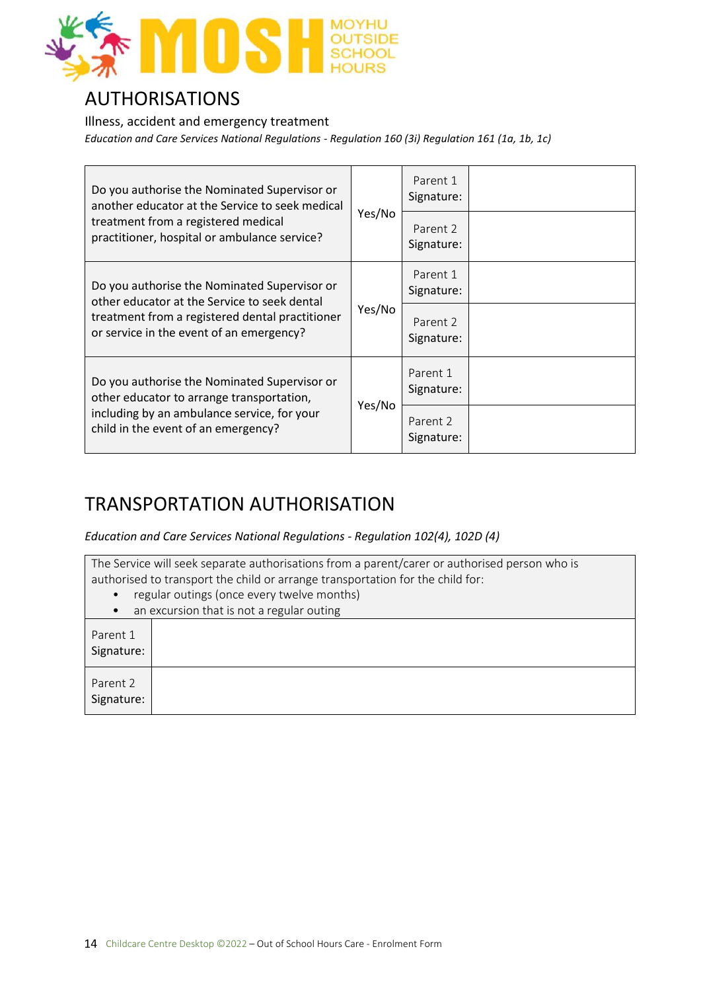

#### AUTHORISATIONS

Illness, accident and emergency treatment *Education and Care Services National Regulations - Regulation 160 (3i) Regulation 161 (1a, 1b, 1c)*

| Do you authorise the Nominated Supervisor or<br>another educator at the Service to seek medical<br>treatment from a registered medical<br>practitioner, hospital or ambulance service? |        | Parent 1<br>Signature: |  |
|----------------------------------------------------------------------------------------------------------------------------------------------------------------------------------------|--------|------------------------|--|
|                                                                                                                                                                                        | Yes/No | Parent 2<br>Signature: |  |
| Do you authorise the Nominated Supervisor or<br>other educator at the Service to seek dental                                                                                           |        | Parent 1<br>Signature: |  |
| treatment from a registered dental practitioner<br>or service in the event of an emergency?                                                                                            | Yes/No | Parent 2<br>Signature: |  |
| Do you authorise the Nominated Supervisor or<br>other educator to arrange transportation,                                                                                              | Yes/No | Parent 1<br>Signature: |  |
| including by an ambulance service, for your<br>child in the event of an emergency?                                                                                                     |        | Parent 2<br>Signature: |  |

### TRANSPORTATION AUTHORISATION

*Education and Care Services National Regulations - Regulation 102(4), 102D (4)*

| The Service will seek separate authorisations from a parent/carer or authorised person who is<br>authorised to transport the child or arrange transportation for the child for: |  |  |  |  |
|---------------------------------------------------------------------------------------------------------------------------------------------------------------------------------|--|--|--|--|
| regular outings (once every twelve months)                                                                                                                                      |  |  |  |  |
| an excursion that is not a regular outing                                                                                                                                       |  |  |  |  |
| Parent 1<br>Signature:                                                                                                                                                          |  |  |  |  |
| Parent 2<br>Signature:                                                                                                                                                          |  |  |  |  |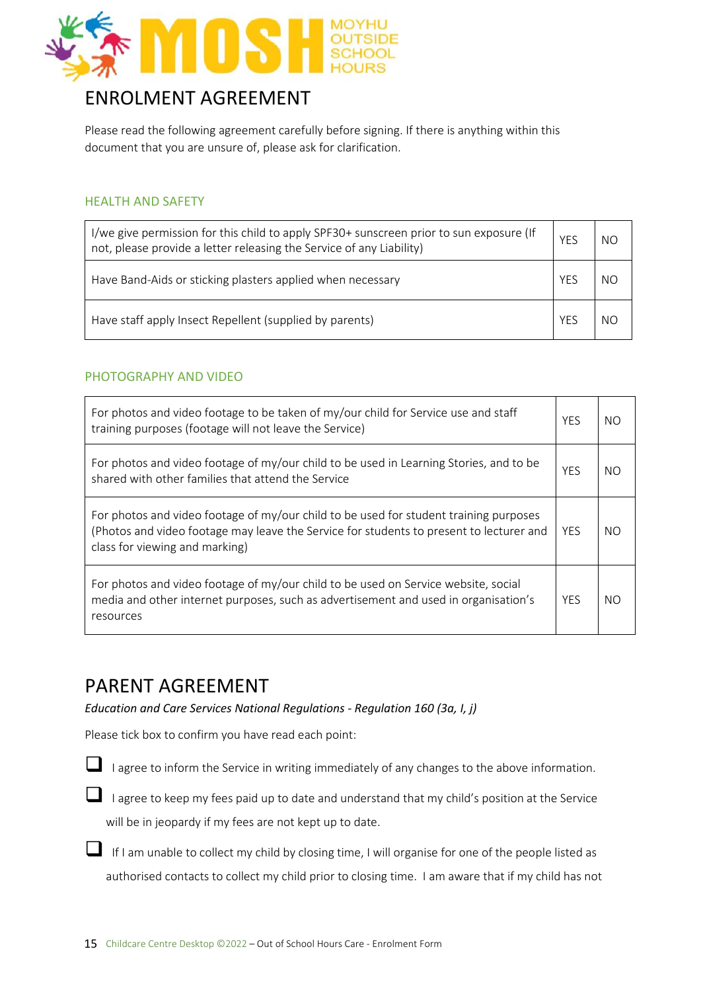

### ENROLMENT AGREEMENT

Please read the following agreement carefully before signing. If there is anything within this document that you are unsure of, please ask for clarification.

#### HEALTH AND SAFETY

| I/we give permission for this child to apply SPF30+ sunscreen prior to sun exposure (If<br>not, please provide a letter releasing the Service of any Liability) | YFS | NΩ |
|-----------------------------------------------------------------------------------------------------------------------------------------------------------------|-----|----|
| Have Band-Aids or sticking plasters applied when necessary                                                                                                      | YFS |    |
| Have staff apply Insect Repellent (supplied by parents)                                                                                                         | YFS |    |

#### PHOTOGRAPHY AND VIDEO

| For photos and video footage to be taken of my/our child for Service use and staff<br>training purposes (footage will not leave the Service)                                                                       | <b>YFS</b> | NO  |
|--------------------------------------------------------------------------------------------------------------------------------------------------------------------------------------------------------------------|------------|-----|
| For photos and video footage of my/our child to be used in Learning Stories, and to be<br>shared with other families that attend the Service                                                                       | <b>YES</b> | NO. |
| For photos and video footage of my/our child to be used for student training purposes<br>(Photos and video footage may leave the Service for students to present to lecturer and<br>class for viewing and marking) | <b>YFS</b> | NO. |
| For photos and video footage of my/our child to be used on Service website, social<br>media and other internet purposes, such as advertisement and used in organisation's<br>resources                             | <b>YFS</b> | NO. |

#### PARENT AGREEMENT

*Education and Care Services National Regulations - Regulation 160 (3a, I, j)*

Please tick box to confirm you have read each point:

- I agree to inform the Service in writing immediately of any changes to the above information.
- ❑ I agree to keep my fees paid up to date and understand that my child's position at the Service will be in jeopardy if my fees are not kept up to date.
- ❑ If I am unable to collect my child by closing time, I will organise for one of the people listed as authorised contacts to collect my child prior to closing time. I am aware that if my child has not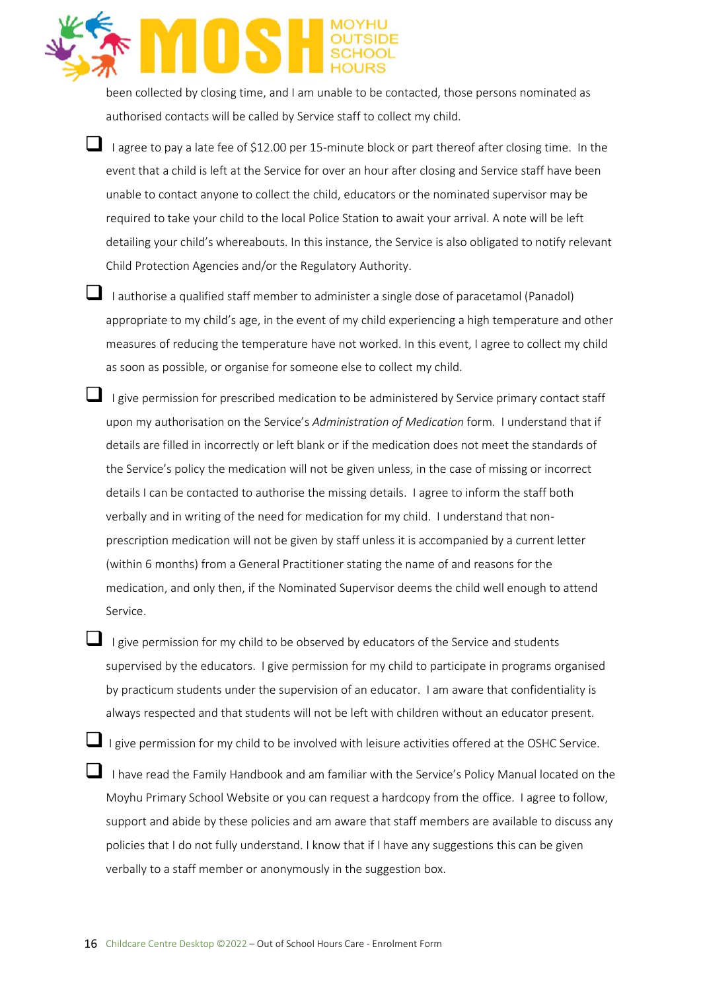been collected by closing time, and I am unable to be contacted, those persons nominated as authorised contacts will be called by Service staff to collect my child.

- $\blacksquare$  I agree to pay a late fee of \$12.00 per 15-minute block or part thereof after closing time. In the event that a child is left at the Service for over an hour after closing and Service staff have been unable to contact anyone to collect the child, educators or the nominated supervisor may be required to take your child to the local Police Station to await your arrival. A note will be left detailing your child's whereabouts. In this instance, the Service is also obligated to notify relevant Child Protection Agencies and/or the Regulatory Authority.
- 

❑ I authorise a qualified staff member to administer a single dose of paracetamol (Panadol) appropriate to my child's age, in the event of my child experiencing a high temperature and other measures of reducing the temperature have not worked. In this event, I agree to collect my child as soon as possible, or organise for someone else to collect my child.

- ❑ I give permission for prescribed medication to be administered by Service primary contact staff upon my authorisation on the Service's *Administration of Medication* form. I understand that if details are filled in incorrectly or left blank or if the medication does not meet the standards of the Service's policy the medication will not be given unless, in the case of missing or incorrect details I can be contacted to authorise the missing details. I agree to inform the staff both verbally and in writing of the need for medication for my child. I understand that nonprescription medication will not be given by staff unless it is accompanied by a current letter (within 6 months) from a General Practitioner stating the name of and reasons for the medication, and only then, if the Nominated Supervisor deems the child well enough to attend Service.
	- I give permission for my child to be observed by educators of the Service and students supervised by the educators. I give permission for my child to participate in programs organised by practicum students under the supervision of an educator. I am aware that confidentiality is always respected and that students will not be left with children without an educator present.
- ❑ I give permission for my child to be involved with leisure activities offered at the OSHC Service. ■ I have read the Family Handbook and am familiar with the Service's Policy Manual located on the Moyhu Primary School Website or you can request a hardcopy from the office. I agree to follow, support and abide by these policies and am aware that staff members are available to discuss any policies that I do not fully understand. I know that if I have any suggestions this can be given verbally to a staff member or anonymously in the suggestion box.